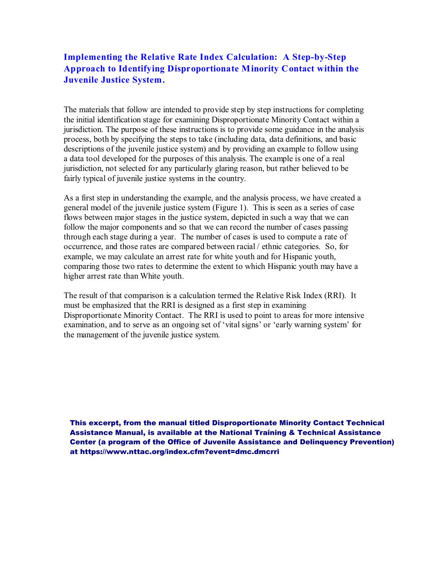## **Implementing the Relative Rate Index Calculation: A Step-by-Step Approach to Identifying Disproportionate Minority Contact within the Juvenile Justice System.**

The materials that follow are intended to provide step by step instructions for completing the initial identification stage for examining Disproportionate Minority Contact within a jurisdiction. The purpose of these instructions is to provide some guidance in the analysis process, both by specifying the steps to take (including data, data definitions, and basic descriptions of the juvenile justice system) and by providing an example to follow using a data tool developed for the purposes of this analysis. The example is one of a real jurisdiction, not selected for any particularly glaring reason, but rather believed to be fairly typical of juvenile justice systems in the country.

As a first step in understanding the example, and the analysis process, we have created a general model of the juvenile justice system (Figure 1). This is seen as a series of case flows between major stages in the justice system, depicted in such a way that we can follow the major components and so that we can record the number of cases passing through each stage during a year. The number of cases is used to compute a rate of occurrence, and those rates are compared between racial / ethnic categories. So, for example, we may calculate an arrest rate for white youth and for Hispanic youth, comparing those two rates to determine the extent to which Hispanic youth may have a higher arrest rate than White youth.

The result of that comparison is a calculation termed the Relative Risk Index (RRI). It must be emphasized that the RRI is designed as a first step in examining Disproportionate Minority Contact. The RRI is used to point to areas for more intensive examination, and to serve as an ongoing set of 'vital signs' or 'early warning system' for the management of the juvenile justice system.

This excerpt, from the manual titled Disproportionate Minority Contact Technical Assistance Manual, is available at the National Training & Technical Assistance Center (a program of the Office of Juvenile Assistance and Delinquency Prevention) at https://www.nttac.org/index.cfm?event=dmc.dmcrri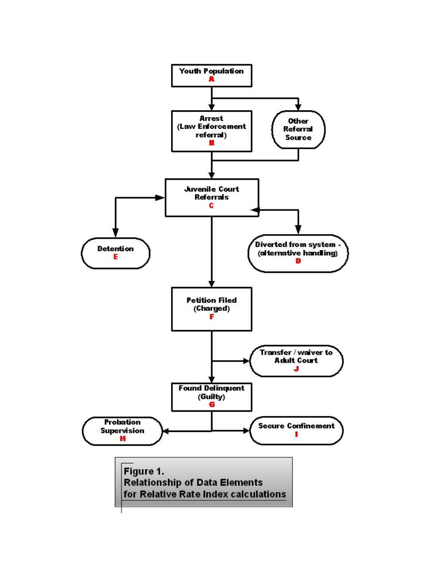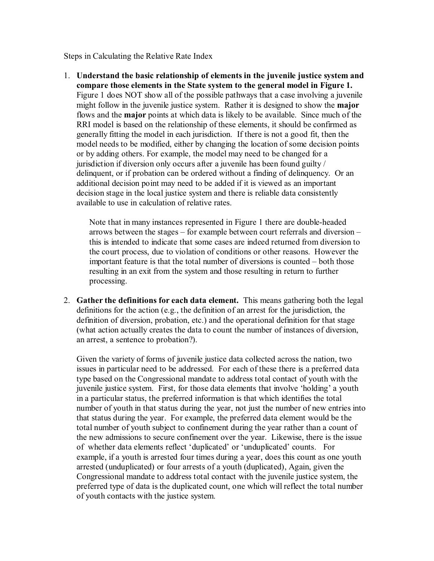Steps in Calculating the Relative Rate Index

1. **Understand the basic relationship of elements in the juvenile justice system and compare those elements in the State system to the general model in Figure 1.** Figure 1 does NOT show all of the possible pathways that a case involving a juvenile might follow in the juvenile justice system. Rather it is designed to show the **major** flows and the **major** points at which data is likely to be available. Since much of the RRI model is based on the relationship of these elements, it should be confirmed as generally fitting the model in each jurisdiction. If there is not a good fit, then the model needs to be modified, either by changing the location of some decision points or by adding others. For example, the model may need to be changed for a jurisdiction if diversion only occurs after a juvenile has been found guilty / delinquent, or if probation can be ordered without a finding of delinquency. Or an additional decision point may need to be added if it is viewed as an important decision stage in the local justice system and there is reliable data consistently available to use in calculation of relative rates.

Note that in many instances represented in Figure 1 there are double-headed arrows between the stages – for example between court referrals and diversion – this is intended to indicate that some cases are indeed returned from diversion to the court process, due to violation of conditions or other reasons. However the important feature is that the total number of diversions is counted – both those resulting in an exit from the system and those resulting in return to further processing.

2. **Gather the definitions for each data element.** This means gathering both the legal definitions for the action (e.g., the definition of an arrest for the jurisdiction, the definition of diversion, probation, etc.) and the operational definition for that stage (what action actually creates the data to count the number of instances of diversion, an arrest, a sentence to probation?).

Given the variety of forms of juvenile justice data collected across the nation, two issues in particular need to be addressed. For each of these there is a preferred data type based on the Congressional mandate to address total contact of youth with the juvenile justice system. First, for those data elements that involve 'holding' a youth in a particular status, the preferred information is that which identifies the total number of youth in that status during the year, not just the number of new entries into that status during the year. For example, the preferred data element would be the total number of youth subject to confinement during the year rather than a count of the new admissions to secure confinement over the year. Likewise, there is the issue of whether data elements reflect 'duplicated' or 'unduplicated' counts. For example, if a youth is arrested four times during a year, does this count as one youth arrested (unduplicated) or four arrests of a youth (duplicated), Again, given the Congressional mandate to address total contact with the juvenile justice system, the preferred type of data is the duplicated count, one which will reflect the total number of youth contacts with the justice system.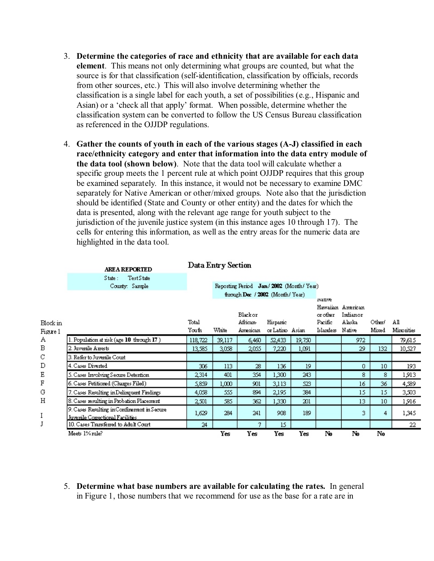- 3. **Determine the categories of race and ethnicity that are available for each data element**. This means not only determining what groups are counted, but what the source is for that classification (self-identification, classification by officials, records from other sources, etc.) This will also involve determining whether the classification is a single label for each youth, a set of possibilities (e.g., Hispanic and Asian) or a 'check all that apply' format. When possible, determine whether the classification system can be converted to follow the US Census Bureau classification as referenced in the OJJDP regulations.
- 4. **Gather the counts of youth in each of the various stages (A-J) classified in each race/ethnicity category and enter that information into the data entry module of the data tool (shown below)**. Note that the data tool will calculate whether a specific group meets the 1 percent rule at which point OJJDP requires that this group be examined separately. In this instance, it would not be necessary to examine DMC separately for Native American or other/mixed groups. Note also that the jurisdiction should be identified (State and County or other entity) and the dates for which the data is presented, along with the relevant age range for youth subject to the jurisdiction of the juvenile justice system (in this instance ages 10 through 17). The cells for entering this information, as well as the entry areas for the numeric data are highlighted in the data tool.

|          | <b>AREA REPORTED</b>                        |                                 | Data Entry Section                      |          |                |        |           |                   |                 |            |
|----------|---------------------------------------------|---------------------------------|-----------------------------------------|----------|----------------|--------|-----------|-------------------|-----------------|------------|
|          | Test State<br>State:                        |                                 |                                         |          |                |        |           |                   |                 |            |
|          | County: Sample                              |                                 | Reporting Period Jan./2002 (Month/Year) |          |                |        |           |                   |                 |            |
|          |                                             | through Dec / 2002 (Month/Year) |                                         |          |                | нацие  |           |                   |                 |            |
|          |                                             |                                 |                                         |          |                |        |           | Hawaiian American |                 |            |
|          |                                             |                                 |                                         | Blackor  |                |        | orother   | Indianor          |                 |            |
| Block in |                                             | Total                           |                                         | African- | Hispanic       |        | Pacific   | Alaska            | Other           | ΑI         |
| Figure 1 |                                             | Youth                           | White                                   | American | orLatino Asian |        | Islanders | Native            | Mixed           | Minorities |
| Α        | 1. Population at risk (age 10 through 17)   | 118,722                         | 39,117                                  | 6,460    | 52,433         | 19,750 |           | 972               |                 | 79,615     |
| В        | 2. Juvenile Arrests                         | 13,585                          | 3,038                                   | 2.055    | 7,220          | 1,091  |           | 29                | 132             | 10,527     |
| С        | 3. Refer to Juvenile Court                  |                                 |                                         |          |                |        |           |                   |                 |            |
| D        | 4. Cases Diverted                           | 306.                            | 113                                     | 28       | 136.           | 19     |           | 0                 | 10              | 193        |
| Ε        | 5. Cases Involving Secure Detention         | 2,314                           | 401                                     | 354      | 1,300          | 243    |           | 8                 | 8               | 1,913      |
| F        | 6. Cases Petitioned (Charges Filed)         | 5,859                           | 1,000                                   | 901      | 3,113          | 523    |           | 16                | 36              | 4,589      |
| G        | 7. Cases Resulting in Delinquent Findings   | 4,058                           | 555                                     | 894      | 2,195          | 384    |           | 15                | 15              | 3,503      |
| Η        | 8. Cases resulting in Probation Placement   | 2,501                           | 585                                     | 362      | 1,330.         | 201    |           | 13                | 10 <sup>°</sup> | 1,916      |
|          | 9. Cases Resulting in Confinement in Secure | 1,629                           | 284                                     | 241      | 908            | 189    |           | 3                 | 4               | 1,345      |
| I        | Juvenile Correctional Facilities            |                                 |                                         |          |                |        |           |                   |                 |            |
| J        | 10. Cases Transferred to Adult Court        | 24                              |                                         | 7.       | 15             |        |           |                   |                 | 22         |
|          | Meets 1% rule?                              |                                 | Yes                                     | Yes      | Yes            | Yes    | No        | No                | No              |            |

5. **Determine what base numbers are available for calculating the rates.** In general in Figure 1, those numbers that we recommend for use as the base for a rate are in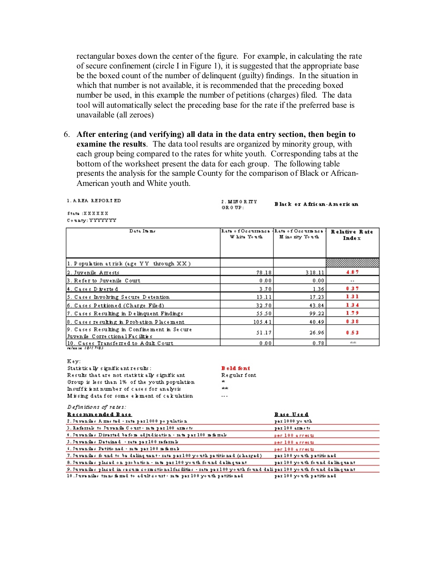rectangular boxes down the center of the figure. For example, in calculating the rate of secure confinement (circle I in Figure 1), it is suggested that the appropriate base be the boxed count of the number of delinquent (guilty) findings. In the situation in which that number is not available, it is recommended that the preceding boxed number be used, in this example the number of petitions (charges) filed. The data tool will automatically select the preceding base for the rate if the preferred base is unavailable (all zeroes)

6. **After entering (and verifying) all data in the data entry section, then begin to examine the results**. The data tool results are organized by minority group, with each group being compared to the rates for white youth. Corresponding tabs at the bottom of the worksheet present the data for each group. The following table presents the analysis for the sample County for the comparison of Black or African-American youth and White youth.

## 1. A REA REPORTED

2 MINORITY Black or African-American  $CFR$   $0.7TP$ .

State : X X X X X X  $\mathtt{C\circ u\,nty: YYYYYYY}$ 

| Data Its me                                                                     | Rate of Occurrence +Rate of Occurrence<br>W hits Youth | M ino rity Youth | Relative Rate<br><b>Index</b> |
|---------------------------------------------------------------------------------|--------------------------------------------------------|------------------|-------------------------------|
|                                                                                 |                                                        |                  |                               |
| 1. Population at risk (age YY through XX)                                       |                                                        |                  |                               |
| 2. Juvenile Arrests                                                             | 78.18                                                  | 318.11           | 4.07                          |
| 3. Refer to Juvenile Court                                                      | 0.00                                                   | 0.00             |                               |
| 4. Cases Diverted                                                               | 3.70                                                   | 1.36             | 0.37                          |
| 5. Cases Involving Secure Detention                                             | 13.11                                                  | 17.23            | 1.31                          |
| 6. Cases Petitioned (Charge Filed)                                              | 32.70                                                  | 43.84            | 1.34                          |
| 7. Cases Resulting in Delinquent Findings.                                      | 55.50                                                  | 99.22            | 1.79                          |
| 8. Cases resulting in Probation Placement.                                      | 105.41                                                 | 40.49            | 0.38                          |
| 9. Cases Resulting in Confinement in Secure<br>Juvenile Correctional Facilities | 51.17                                                  | 26.96            | 0.53                          |
| 10. Cases Transferred to Adult Court<br>release 1811-7185                       | 0.00                                                   | 0.78             | skisk:                        |

Key:

Definitions of rates:

| Statistically significant results:             | B old font   |
|------------------------------------------------|--------------|
| Results that are not statistically significant | Regular font |
| Group is less than 1% of the youth population  | ж            |
| Insufficient number of cases for analysis      | skak.        |
| Missing data for some element of calculation   | $\cdots$     |

| Recommended Base                                                                                                  | Base Used                      |
|-------------------------------------------------------------------------------------------------------------------|--------------------------------|
| 2. Juvanilas Amastad - rata par 1000 po pulation                                                                  | par 1000 youth                 |
| 3. Referrals to Juvenile Court- rate per 100 armsts.                                                              | par 100 arms to                |
| 4. Juvanila: Divartad bafom adjudisation - rata par 100 m famal:                                                  | per 100 a rrests               |
| 5. Juvenile: Detained - rate per 100 referral:                                                                    | per 100 a rrests               |
| 4. Juvenile: Petitioned - rate per 100 m famak                                                                    | per 100 a rrests               |
| 7. Juvenile: fo und to be deling uent - rate per 100 youth petitioned (charged)                                   | par 100 youth patitionad       |
| 8. Juvanilas placad on probation - rata par 100 youth found dalinguant                                            | par 100 youth found dalinguant |
| 9. Juveniles placed in secum cormetional facilities - rate per 100 youth found deliper 100 youth found delinquent |                                |
| 10. Juveniles trans famed to adult sourt - rate per 100 youth petitioned                                          | par 100 youth patitionad       |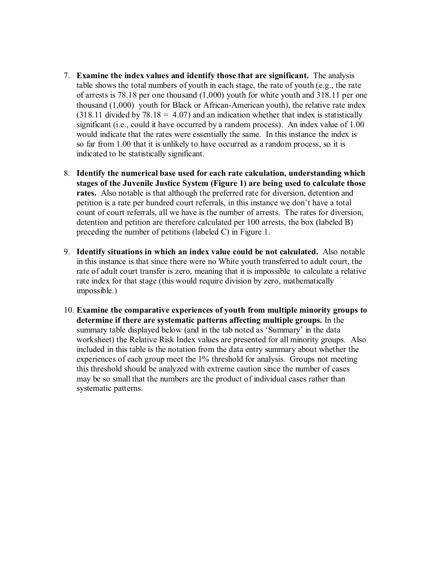- 7. **Examine the index values and identify those that are significant.** The analysis table shows the total numbers of youth in each stage, the rate of youth (e.g., the rate of arrests is 78.18 per one thousand (1,000) youth for white youth and 318.11 per one thousand (1,000) youth for Black or African-American youth), the relative rate index  $(318.11 \text{ divided by } 78.18 = 4.07)$  and an indication whether that index is statistically significant (i.e., could it have occurred by a random process). An index value of 1.00 would indicate that the rates were essentially the same. In this instance the index is so far from 1.00 that it is unlikely to have occurred as a random process, so it is indicated to be statistically significant.
- 8. **Identify the numerical base used for each rate calculation, understanding which stages of the Juvenile Justice System (Figure 1) are being used to calculate those rates.** Also notable is that although the preferred rate for diversion, detention and petition is a rate per hundred court referrals, in this instance we don't have a total count of court referrals, all we have is the number of arrests. The rates for diversion, detention and petition are therefore calculated per 100 arrests, the box (labeled B) preceding the number of petitions (labeled C) in Figure 1.
- 9. **Identify situations in which an index value could be not calculated.** Also notable in this instance is that since there were no White youth transferred to adult court, the rate of adult court transfer is zero, meaning that it is impossible to calculate a relative rate index for that stage (this would require division by zero, mathematically impossible.)
- 10. **Examine the comparative experiences of youth from multiple minority groups to determine if there are systematic patterns affecting multiple groups.** In the summary table displayed below (and in the tab noted as 'Summary' in the data worksheet) the Relative Risk Index values are presented for all minority groups. Also included in this table is the notation from the data entry summary about whether the experiences of each group meet the 1% threshold for analysis. Groups not meeting this threshold should be analyzed with extreme caution since the number of cases may be so small that the numbers are the product of individual cases rather than systematic patterns.